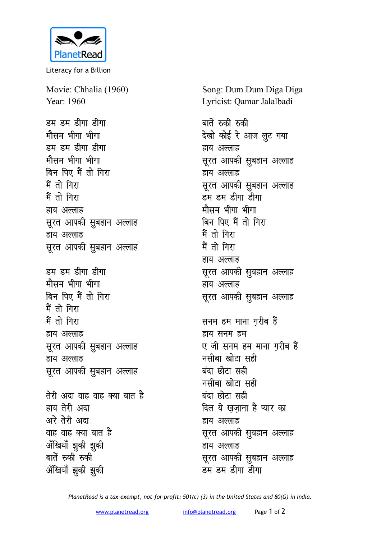

Literacy for a Billion

Movie: Chhalia (1960) Year: 1960 <u>डम डम डीगा डीगा</u> मौसम भीगा भीग<u>ा</u> डम डम डीगा डीगा **मौसम भीगा भीगा** बिन पिए मैं तो गिरा मैं तो गिरा मैं तो गिरा हाय अल्लाह *सुरत आपकी सु*बहान अल्लाह हाय अल्लाह **सूरत आपकी सुबहान अल्लाह** डम डम डीगा डीगा **मौसम भीगा भीगा** बिन पिए मैं तो गिरा मैं तो गिरा मैं तो गिर<mark>ा</mark> हाय अल्लाह

**सूरत आपकी सुबहान अल्लाह** हाय अल्लाह **सूरत आपकी सुबहान अल्लाह** <u>तेरी अदा वाह वाह क्या बात है</u> हाय तेरी अदा अरे तेरी अदा वाह वाह क्या बात है अँखियाँ झुकी झुकी बातें रुकी रुकी

अँखियाँ झुकी झुकी

Song: Dum Dum Diga Diga Lyricist: Qamar Jalalbadi

बातें रुकी रुकी देखो कोई रे आज लुट गया हाय अल्लाह सूरत आपकी सुबहान अल्लाह हाय अल्लाह **सूरत आपकी सुबहान अल्लाह** डम डम डीगा डीगा **मौसम भीगा भीगा** <u>बिन पिए मैं तो गिरा</u> मैं तो गिरा मैं तो गिर<mark>ा</mark> हाय अल्लाह सूरत आपकी सुबहान अल्लाह हाय अल्लाह सूरत आपकी सुबहान अल्लाह सनम हम माना गरीब हैं हाय सनम हम ए जी सनम हम माना गरीब <del>ह</del>ैं नसीबा खोटा सही बंदा **छोटा** सही नसीबा खोटा सही बंदा छोटा सही <u>दिल ये खुज़ाना है प्यार का</u> हाय अल्लाह सूरत आपकी सुबहान अल्लाह हाय अल्लाह **सूरत आपकी सूबहान अल्लाह** डम **डम डीगा** डीगा

*PlanetRead is a tax-exempt, not-for-profit: 501(c) (3) in the United States and 80(G) in India.*